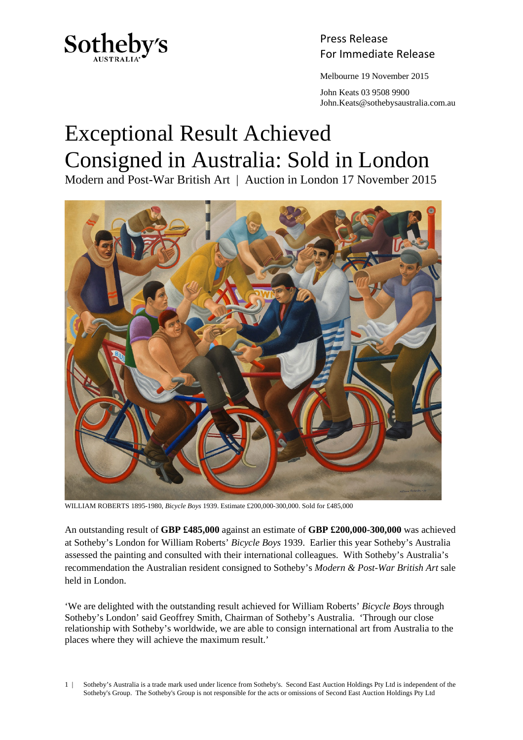

Press Release Sotheby's<br>For Immediate Release

Melbourne 19 November 2015

 John Keats 03 9508 9900 John.Keats@sothebysaustralia.com.au

## Exceptional Result Achieved Consigned in Australia: Sold in London

Modern and Post-War British Art | Auction in London 17 November 2015



WILLIAM ROBERTS 1895-1980, *Bicycle Boys* 1939. Estimate £200,000-300,000. Sold for £485,000

An outstanding result of **GBP £485,000** against an estimate of **GBP £200,000-300,000** was achieved at Sotheby's London for William Roberts' *Bicycle Boys* 1939. Earlier this year Sotheby's Australia assessed the painting and consulted with their international colleagues. With Sotheby's Australia's recommendation the Australian resident consigned to Sotheby's *Modern & Post-War British Art* sale held in London.

'We are delighted with the outstanding result achieved for William Roberts' *Bicycle Boys* through Sotheby's London' said Geoffrey Smith, Chairman of Sotheby's Australia. 'Through our close relationship with Sotheby's worldwide, we are able to consign international art from Australia to the places where they will achieve the maximum result.'

1 | Sotheby's Australia is a trade mark used under licence from Sotheby's. Second East Auction Holdings Pty Ltd is independent of the Sotheby's Group. The Sotheby's Group is not responsible for the acts or omissions of Second East Auction Holdings Pty Ltd